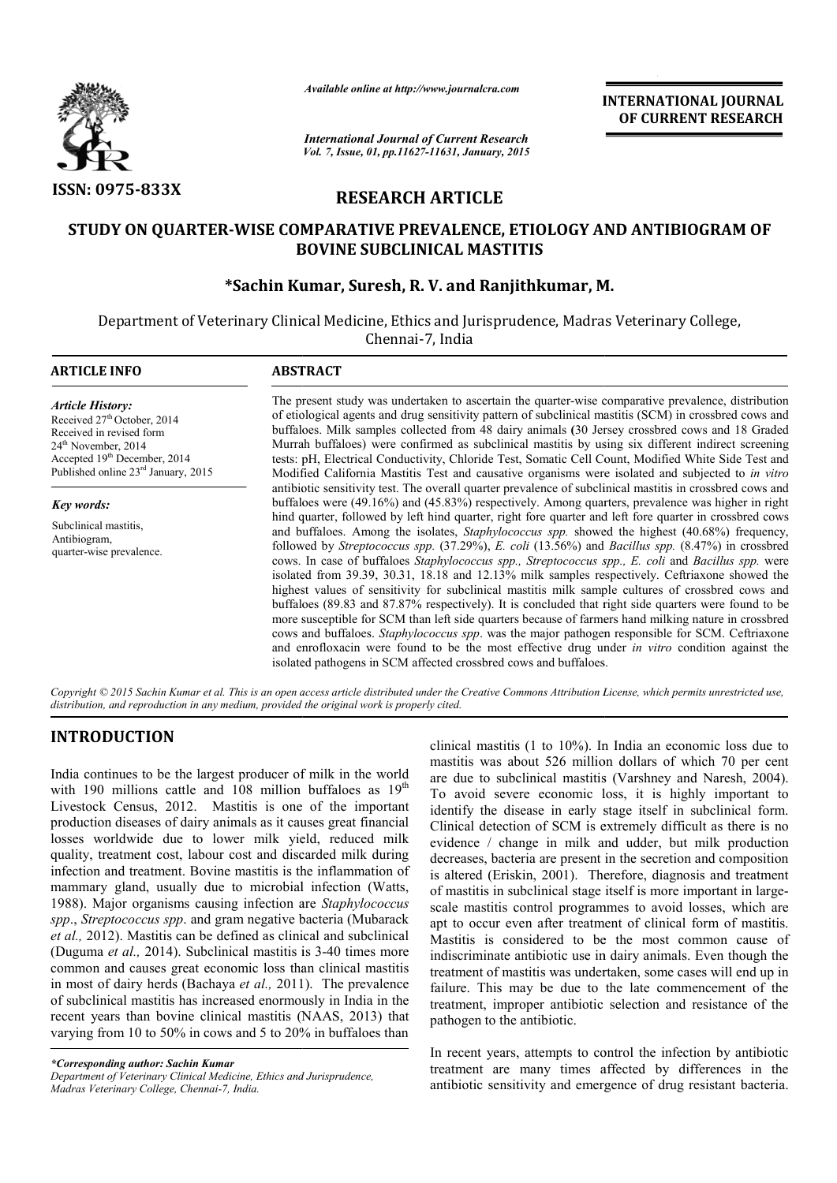

*Available online at http://www.journalcra.com*

# **RESEARCH ARTICLE**

# **STUDY ON QUARTER-WISE COMPARATIVE PREVALENCE, ETIOLOGY AND ANTIBIOGRAM OF COMPARATIVE BOVINE SUBCLINICAL MASTITIS \*Sachin Kumar, Suresh WISE Sachin Suresh, R. V. and Ranjithkumar, M.**

|                                                                                                                                                                                                                                                                                                                                                                                                                                                                                                                                                                                                                                                                                                                                                                                                                                                                                                                                                                                                                                                                                                                                                                             | unuvic viime ui nup.//www.jvurnuicru.com                                                                                                                                                                                                                                                                                                                                                                                                                                                                                                                                                                                                                                                                                                                                                                                                                                                                                                                                                                                                                                                                                                                                                                                                                                                                                                                                                                                                                                                                                                                                                                                                                                                                                                                                                                                                                                                                                                                                           | <b>INTERNATIONAL JOURNAL</b><br>OF CURRENT RESEARCH                                                                                                                                             |                                                                                                                                                                                                                                                                                                                                                                                                                                                                                                                                                                                                                                                                                                                                                                                                                                                                                                                                                                                                                                                                                                                                                       |  |  |  |  |  |  |  |
|-----------------------------------------------------------------------------------------------------------------------------------------------------------------------------------------------------------------------------------------------------------------------------------------------------------------------------------------------------------------------------------------------------------------------------------------------------------------------------------------------------------------------------------------------------------------------------------------------------------------------------------------------------------------------------------------------------------------------------------------------------------------------------------------------------------------------------------------------------------------------------------------------------------------------------------------------------------------------------------------------------------------------------------------------------------------------------------------------------------------------------------------------------------------------------|------------------------------------------------------------------------------------------------------------------------------------------------------------------------------------------------------------------------------------------------------------------------------------------------------------------------------------------------------------------------------------------------------------------------------------------------------------------------------------------------------------------------------------------------------------------------------------------------------------------------------------------------------------------------------------------------------------------------------------------------------------------------------------------------------------------------------------------------------------------------------------------------------------------------------------------------------------------------------------------------------------------------------------------------------------------------------------------------------------------------------------------------------------------------------------------------------------------------------------------------------------------------------------------------------------------------------------------------------------------------------------------------------------------------------------------------------------------------------------------------------------------------------------------------------------------------------------------------------------------------------------------------------------------------------------------------------------------------------------------------------------------------------------------------------------------------------------------------------------------------------------------------------------------------------------------------------------------------------------|-------------------------------------------------------------------------------------------------------------------------------------------------------------------------------------------------|-------------------------------------------------------------------------------------------------------------------------------------------------------------------------------------------------------------------------------------------------------------------------------------------------------------------------------------------------------------------------------------------------------------------------------------------------------------------------------------------------------------------------------------------------------------------------------------------------------------------------------------------------------------------------------------------------------------------------------------------------------------------------------------------------------------------------------------------------------------------------------------------------------------------------------------------------------------------------------------------------------------------------------------------------------------------------------------------------------------------------------------------------------|--|--|--|--|--|--|--|
|                                                                                                                                                                                                                                                                                                                                                                                                                                                                                                                                                                                                                                                                                                                                                                                                                                                                                                                                                                                                                                                                                                                                                                             | <b>International Journal of Current Research</b><br>Vol. 7, Issue, 01, pp.11627-11631, January, 2015                                                                                                                                                                                                                                                                                                                                                                                                                                                                                                                                                                                                                                                                                                                                                                                                                                                                                                                                                                                                                                                                                                                                                                                                                                                                                                                                                                                                                                                                                                                                                                                                                                                                                                                                                                                                                                                                               |                                                                                                                                                                                                 |                                                                                                                                                                                                                                                                                                                                                                                                                                                                                                                                                                                                                                                                                                                                                                                                                                                                                                                                                                                                                                                                                                                                                       |  |  |  |  |  |  |  |
| <b>ISSN: 0975-833X</b>                                                                                                                                                                                                                                                                                                                                                                                                                                                                                                                                                                                                                                                                                                                                                                                                                                                                                                                                                                                                                                                                                                                                                      |                                                                                                                                                                                                                                                                                                                                                                                                                                                                                                                                                                                                                                                                                                                                                                                                                                                                                                                                                                                                                                                                                                                                                                                                                                                                                                                                                                                                                                                                                                                                                                                                                                                                                                                                                                                                                                                                                                                                                                                    | <b>RESEARCH ARTICLE</b>                                                                                                                                                                         |                                                                                                                                                                                                                                                                                                                                                                                                                                                                                                                                                                                                                                                                                                                                                                                                                                                                                                                                                                                                                                                                                                                                                       |  |  |  |  |  |  |  |
| STUDY ON QUARTER-WISE COMPARATIVE PREVALENCE, ETIOLOGY AND ANTIBIOGRAM OF<br><b>BOVINE SUBCLINICAL MASTITIS</b><br>*Sachin Kumar, Suresh, R. V. and Ranjithkumar, M.                                                                                                                                                                                                                                                                                                                                                                                                                                                                                                                                                                                                                                                                                                                                                                                                                                                                                                                                                                                                        |                                                                                                                                                                                                                                                                                                                                                                                                                                                                                                                                                                                                                                                                                                                                                                                                                                                                                                                                                                                                                                                                                                                                                                                                                                                                                                                                                                                                                                                                                                                                                                                                                                                                                                                                                                                                                                                                                                                                                                                    |                                                                                                                                                                                                 |                                                                                                                                                                                                                                                                                                                                                                                                                                                                                                                                                                                                                                                                                                                                                                                                                                                                                                                                                                                                                                                                                                                                                       |  |  |  |  |  |  |  |
|                                                                                                                                                                                                                                                                                                                                                                                                                                                                                                                                                                                                                                                                                                                                                                                                                                                                                                                                                                                                                                                                                                                                                                             | Department of Veterinary Clinical Medicine, Ethics and Jurisprudence, Madras Veterinary College,                                                                                                                                                                                                                                                                                                                                                                                                                                                                                                                                                                                                                                                                                                                                                                                                                                                                                                                                                                                                                                                                                                                                                                                                                                                                                                                                                                                                                                                                                                                                                                                                                                                                                                                                                                                                                                                                                   | Chennai-7, India                                                                                                                                                                                |                                                                                                                                                                                                                                                                                                                                                                                                                                                                                                                                                                                                                                                                                                                                                                                                                                                                                                                                                                                                                                                                                                                                                       |  |  |  |  |  |  |  |
| <b>ARTICLE INFO</b>                                                                                                                                                                                                                                                                                                                                                                                                                                                                                                                                                                                                                                                                                                                                                                                                                                                                                                                                                                                                                                                                                                                                                         | <b>ABSTRACT</b>                                                                                                                                                                                                                                                                                                                                                                                                                                                                                                                                                                                                                                                                                                                                                                                                                                                                                                                                                                                                                                                                                                                                                                                                                                                                                                                                                                                                                                                                                                                                                                                                                                                                                                                                                                                                                                                                                                                                                                    |                                                                                                                                                                                                 |                                                                                                                                                                                                                                                                                                                                                                                                                                                                                                                                                                                                                                                                                                                                                                                                                                                                                                                                                                                                                                                                                                                                                       |  |  |  |  |  |  |  |
| <b>Article History:</b><br>Received 27th October, 2014<br>Received in revised form<br>24 <sup>th</sup> November, 2014<br>Accepted $19^{th}$ December, 2014<br>Published online $23^{rd}$ January, 2015                                                                                                                                                                                                                                                                                                                                                                                                                                                                                                                                                                                                                                                                                                                                                                                                                                                                                                                                                                      | The present study was undertaken to ascertain the quarter-wise comparative prevalence, distribution<br>of etiological agents and drug sensitivity pattern of subclinical mastitis (SCM) in crossbred cows and<br>buffaloes. Milk samples collected from 48 dairy animals (30 Jersey crossbred cows and 18 Graded<br>Murrah buffaloes) were confirmed as subclinical mastitis by using six different indirect screening<br>tests: pH, Electrical Conductivity, Chloride Test, Somatic Cell Count, Modified White Side Test and<br>Modified California Mastitis Test and causative organisms were isolated and subjected to in vitro<br>antibiotic sensitivity test. The overall quarter prevalence of subclinical mastitis in crossbred cows and<br>buffaloes were (49.16%) and (45.83%) respectively. Among quarters, prevalence was higher in right<br>hind quarter, followed by left hind quarter, right fore quarter and left fore quarter in crossbred cows<br>and buffaloes. Among the isolates, <i>Staphylococcus spp</i> . showed the highest (40.68%) frequency,<br>followed by Streptococcus spp. (37.29%), E. coli (13.56%) and Bacillus spp. (8.47%) in crossbred<br>cows. In case of buffaloes Staphylococcus spp., Streptococcus spp., E. coli and Bacillus spp. were<br>isolated from 39.39, 30.31, 18.18 and 12.13% milk samples respectively. Ceftriaxone showed the<br>highest values of sensitivity for subclinical mastitis milk sample cultures of crossbred cows and<br>buffaloes (89.83 and 87.87% respectively). It is concluded that right side quarters were found to be<br>more susceptible for SCM than left side quarters because of farmers hand milking nature in crossbred<br>cows and buffaloes. Staphylococcus spp. was the major pathogen responsible for SCM. Ceftriaxone<br>and enrofloxacin were found to be the most effective drug under in vitro condition against the<br>isolated pathogens in SCM affected crossbred cows and buffaloes. |                                                                                                                                                                                                 |                                                                                                                                                                                                                                                                                                                                                                                                                                                                                                                                                                                                                                                                                                                                                                                                                                                                                                                                                                                                                                                                                                                                                       |  |  |  |  |  |  |  |
| Key words:<br>Subclinical mastitis,<br>Antibiogram,<br>quarter-wise prevalence.                                                                                                                                                                                                                                                                                                                                                                                                                                                                                                                                                                                                                                                                                                                                                                                                                                                                                                                                                                                                                                                                                             |                                                                                                                                                                                                                                                                                                                                                                                                                                                                                                                                                                                                                                                                                                                                                                                                                                                                                                                                                                                                                                                                                                                                                                                                                                                                                                                                                                                                                                                                                                                                                                                                                                                                                                                                                                                                                                                                                                                                                                                    |                                                                                                                                                                                                 |                                                                                                                                                                                                                                                                                                                                                                                                                                                                                                                                                                                                                                                                                                                                                                                                                                                                                                                                                                                                                                                                                                                                                       |  |  |  |  |  |  |  |
| distribution, and reproduction in any medium, provided the original work is properly cited.                                                                                                                                                                                                                                                                                                                                                                                                                                                                                                                                                                                                                                                                                                                                                                                                                                                                                                                                                                                                                                                                                 |                                                                                                                                                                                                                                                                                                                                                                                                                                                                                                                                                                                                                                                                                                                                                                                                                                                                                                                                                                                                                                                                                                                                                                                                                                                                                                                                                                                                                                                                                                                                                                                                                                                                                                                                                                                                                                                                                                                                                                                    |                                                                                                                                                                                                 | Copyright © 2015 Sachin Kumar et al. This is an open access article distributed under the Creative Commons Attribution License, which permits unrestricted use,                                                                                                                                                                                                                                                                                                                                                                                                                                                                                                                                                                                                                                                                                                                                                                                                                                                                                                                                                                                       |  |  |  |  |  |  |  |
| <b>INTRODUCTION</b><br>India continues to be the largest producer of milk in the world<br>with 190 millions cattle and 108 million buffaloes as 19 <sup>th</sup><br>Livestock Census, 2012. Mastitis is one of the important<br>production diseases of dairy animals as it causes great financial<br>losses worldwide due to lower milk yield, reduced milk<br>quality, treatment cost, labour cost and discarded milk during<br>infection and treatment. Bovine mastitis is the inflammation of<br>mammary gland, usually due to microbial infection (Watts,<br>1988). Major organisms causing infection are Staphylococcus<br>spp., Streptococcus spp. and gram negative bacteria (Mubarack<br>et al., 2012). Mastitis can be defined as clinical and subclinical<br>(Duguma et al., 2014). Subclinical mastitis is 3-40 times more<br>common and causes great economic loss than clinical mastitis<br>in most of dairy herds (Bachaya et al., 2011). The prevalence<br>of subclinical mastitis has increased enormously in India in the<br>recent years than bovine clinical mastitis (NAAS, 2013) that<br>varying from 10 to 50% in cows and 5 to 20% in buffaloes than |                                                                                                                                                                                                                                                                                                                                                                                                                                                                                                                                                                                                                                                                                                                                                                                                                                                                                                                                                                                                                                                                                                                                                                                                                                                                                                                                                                                                                                                                                                                                                                                                                                                                                                                                                                                                                                                                                                                                                                                    | pathogen to the antibiotic.                                                                                                                                                                     | clinical mastitis $(1 \text{ to } 10\%)$ . In India an economic loss due to<br>mastitis was about 526 million dollars of which 70 per cent<br>are due to subclinical mastitis (Varshney and Naresh, 2004).<br>To avoid severe economic loss, it is highly important to<br>identify the disease in early stage itself in subclinical form.<br>Clinical detection of SCM is extremely difficult as there is no<br>evidence / change in milk and udder, but milk production<br>decreases, bacteria are present in the secretion and composition<br>is altered (Eriskin, 2001). Therefore, diagnosis and treatment<br>of mastitis in subclinical stage itself is more important in large-<br>scale mastitis control programmes to avoid losses, which are<br>apt to occur even after treatment of clinical form of mastitis.<br>Mastitis is considered to be the most common cause of<br>indiscriminate antibiotic use in dairy animals. Even though the<br>treatment of mastitis was undertaken, some cases will end up in<br>failure. This may be due to the late commencement of the<br>treatment, improper antibiotic selection and resistance of the |  |  |  |  |  |  |  |
| *Corresponding author: Sachin Kumar<br>Department of Veterinary Clinical Medicine, Ethics and Jurisprudence,<br>Madras Veterinary College, Chennai-7, India.                                                                                                                                                                                                                                                                                                                                                                                                                                                                                                                                                                                                                                                                                                                                                                                                                                                                                                                                                                                                                |                                                                                                                                                                                                                                                                                                                                                                                                                                                                                                                                                                                                                                                                                                                                                                                                                                                                                                                                                                                                                                                                                                                                                                                                                                                                                                                                                                                                                                                                                                                                                                                                                                                                                                                                                                                                                                                                                                                                                                                    | In recent years, attempts to control the infection by antibiotic<br>treatment are many times affected by differences in the<br>antibiotic sensitivity and emergence of drug resistant bacteria. |                                                                                                                                                                                                                                                                                                                                                                                                                                                                                                                                                                                                                                                                                                                                                                                                                                                                                                                                                                                                                                                                                                                                                       |  |  |  |  |  |  |  |

# **INTRODUCTION**

*Department of Veterinary Clinical Medicine, Ethics and Jurisprudence, Madras Veterinary College, Chennai-7, India.*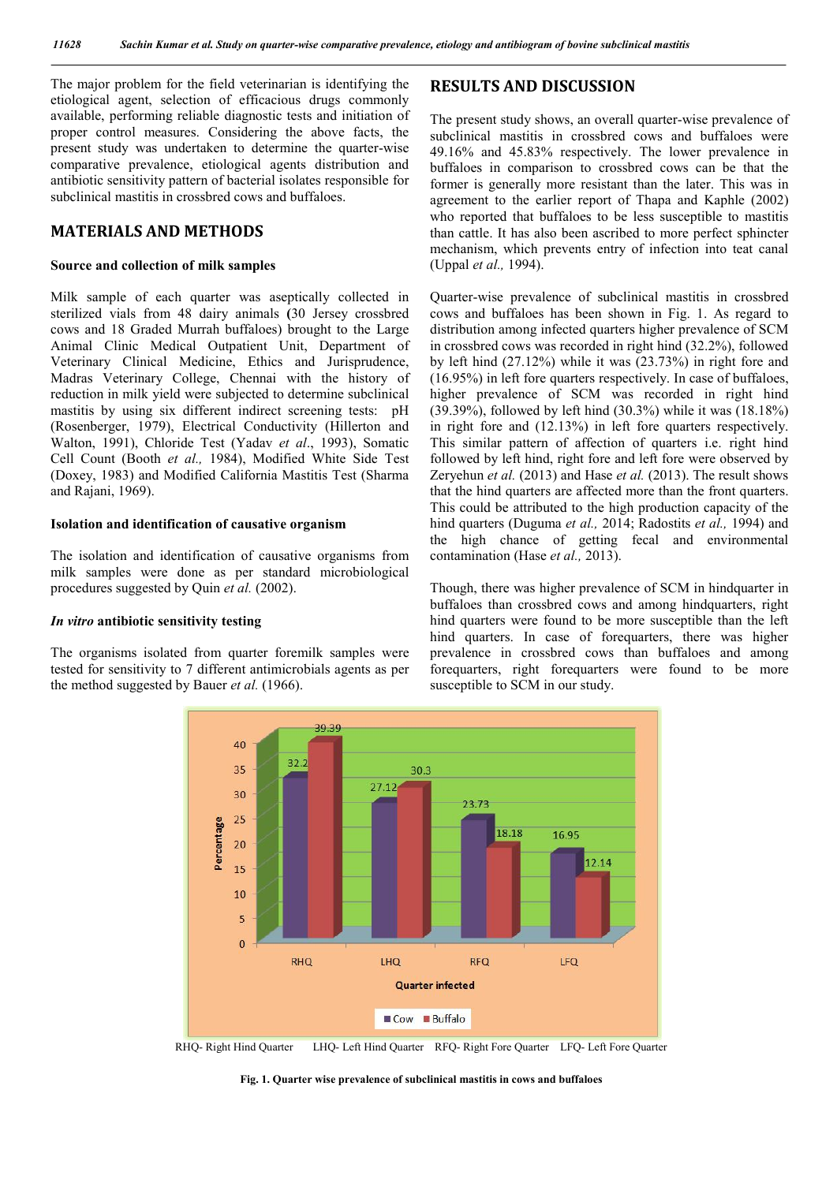The major problem for the field veterinarian is identifying the etiological agent, selection of efficacious drugs commonly available, performing reliable diagnostic tests and initiation of proper control measures. Considering the above facts, the present study was undertaken to determine the quarter-wise comparative prevalence, etiological agents distribution and antibiotic sensitivity pattern of bacterial isolates responsible for subclinical mastitis in crossbred cows and buffaloes.

# **MATERIALS AND METHODS**

#### **Source and collection of milk samples**

Milk sample of each quarter was aseptically collected in sterilized vials from 48 dairy animals **(**30 Jersey crossbred cows and 18 Graded Murrah buffaloes) brought to the Large Animal Clinic Medical Outpatient Unit, Department of Veterinary Clinical Medicine, Ethics and Jurisprudence, Madras Veterinary College, Chennai with the history of reduction in milk yield were subjected to determine subclinical mastitis by using six different indirect screening tests: pH (Rosenberger, 1979), Electrical Conductivity (Hillerton and Walton, 1991), Chloride Test (Yadav *et al*., 1993), Somatic Cell Count (Booth *et al.,* 1984), Modified White Side Test (Doxey, 1983) and Modified California Mastitis Test (Sharma and Rajani, 1969).

#### **Isolation and identification of causative organism**

The isolation and identification of causative organisms from milk samples were done as per standard microbiological procedures suggested by Quin *et al.* (2002).

### *In vitro* **antibiotic sensitivity testing**

The organisms isolated from quarter foremilk samples were tested for sensitivity to 7 different antimicrobials agents as per the method suggested by Bauer *et al.* (1966).

# **RESULTS AND DISCUSSION**

The present study shows, an overall quarter-wise prevalence of subclinical mastitis in crossbred cows and buffaloes were 49.16% and 45.83% respectively. The lower prevalence in buffaloes in comparison to crossbred cows can be that the former is generally more resistant than the later. This was in agreement to the earlier report of Thapa and Kaphle (2002) who reported that buffaloes to be less susceptible to mastitis than cattle. It has also been ascribed to more perfect sphincter mechanism, which prevents entry of infection into teat canal (Uppal *et al.,* 1994).

Quarter-wise prevalence of subclinical mastitis in crossbred cows and buffaloes has been shown in Fig. 1. As regard to distribution among infected quarters higher prevalence of SCM in crossbred cows was recorded in right hind (32.2%), followed by left hind (27.12%) while it was (23.73%) in right fore and (16.95%) in left fore quarters respectively. In case of buffaloes, higher prevalence of SCM was recorded in right hind (39.39%), followed by left hind (30.3%) while it was (18.18%) in right fore and (12.13%) in left fore quarters respectively. This similar pattern of affection of quarters i.e. right hind followed by left hind, right fore and left fore were observed by Zeryehun *et al.* (2013) and Hase *et al.* (2013). The result shows that the hind quarters are affected more than the front quarters. This could be attributed to the high production capacity of the hind quarters (Duguma *et al.,* 2014; Radostits *et al.,* 1994) and the high chance of getting fecal and environmental contamination (Hase *et al.,* 2013).

Though, there was higher prevalence of SCM in hindquarter in buffaloes than crossbred cows and among hindquarters, right hind quarters were found to be more susceptible than the left hind quarters. In case of forequarters, there was higher prevalence in crossbred cows than buffaloes and among forequarters, right forequarters were found to be more susceptible to SCM in our study.



RHQ- Right Hind Quarter LHQ- Left Hind Quarter RFQ- Right Fore Quarter LFQ- Left Fore Quarter

**Fig. 1. Quarter wise prevalence of subclinical mastitis in cows and buffaloes**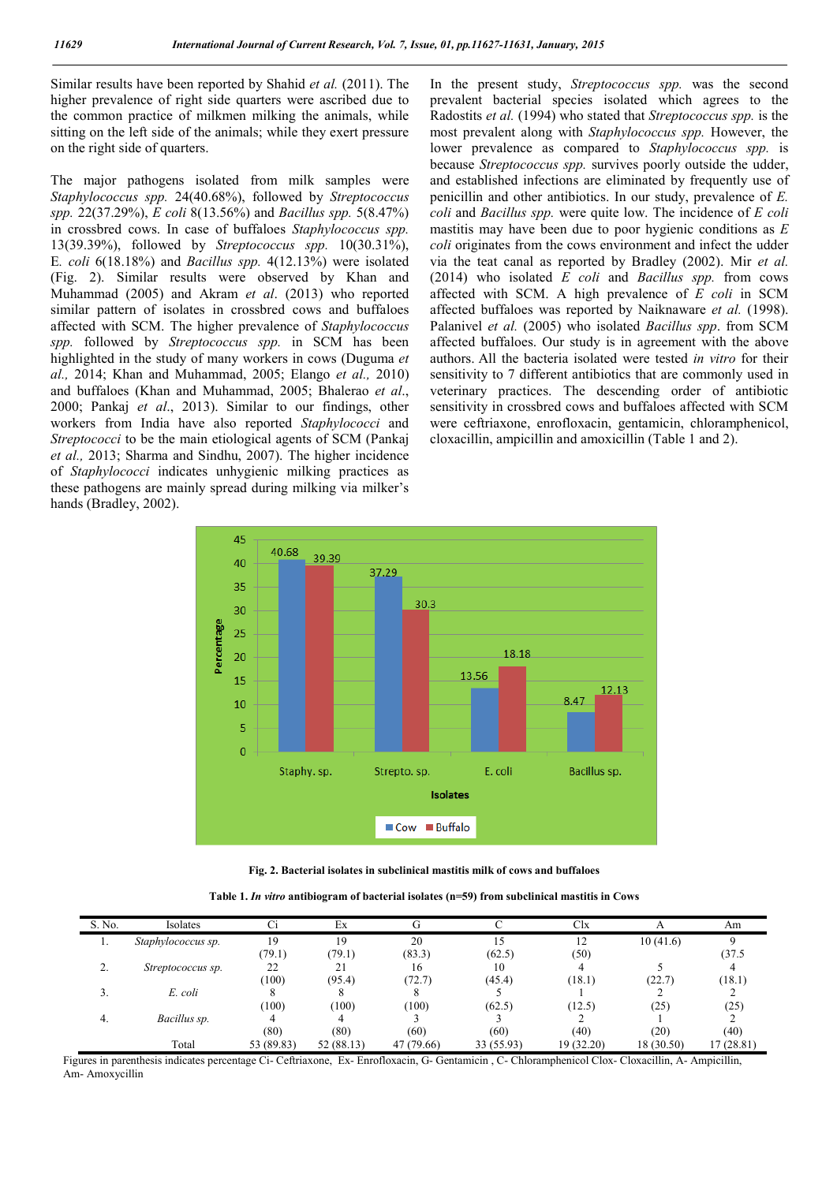Similar results have been reported by Shahid *et al.* (2011). The higher prevalence of right side quarters were ascribed due to the common practice of milkmen milking the animals, while sitting on the left side of the animals; while they exert pressure on the right side of quarters.

The major pathogens isolated from milk samples were *Staphylococcus spp.* 24(40.68%), followed by *Streptococcus spp.* 22(37.29%), *E coli* 8(13.56%) and *Bacillus spp.* 5(8.47%) in crossbred cows. In case of buffaloes *Staphylococcus spp.* 13(39.39%), followed by *Streptococcus spp.* 10(30.31%), E*. coli* 6(18.18%) and *Bacillus spp.* 4(12.13%) were isolated (Fig. 2). Similar results were observed by Khan and Muhammad (2005) and Akram *et al*. (2013) who reported similar pattern of isolates in crossbred cows and buffaloes affected with SCM. The higher prevalence of *Staphylococcus spp.* followed by *Streptococcus spp.* in SCM has been highlighted in the study of many workers in cows (Duguma *et al.,* 2014; Khan and Muhammad, 2005; Elango *et al.,* 2010) and buffaloes (Khan and Muhammad, 2005; Bhalerao *et al*., 2000; Pankaj *et al*., 2013). Similar to our findings, other workers from India have also reported *Staphylococci* and *Streptococci* to be the main etiological agents of SCM (Pankaj *et al.,* 2013; Sharma and Sindhu, 2007). The higher incidence of *Staphylococci* indicates unhygienic milking practices as these pathogens are mainly spread during milking via milker's hands (Bradley, 2002).

In the present study, *Streptococcus spp.* was the second prevalent bacterial species isolated which agrees to the Radostits *et al.* (1994) who stated that *Streptococcus spp.* is the most prevalent along with *Staphylococcus spp.* However, the lower prevalence as compared to *Staphylococcus spp.* is because *Streptococcus spp.* survives poorly outside the udder, and established infections are eliminated by frequently use of penicillin and other antibiotics. In our study, prevalence of *E. coli* and *Bacillus spp.* were quite low. The incidence of *E coli* mastitis may have been due to poor hygienic conditions as *E coli* originates from the cows environment and infect the udder via the teat canal as reported by Bradley (2002). Mir *et al.* (2014) who isolated *E coli* and *Bacillus spp.* from cows affected with SCM. A high prevalence of *E coli* in SCM affected buffaloes was reported by Naiknaware *et al.* (1998). Palanivel *et al.* (2005) who isolated *Bacillus spp*. from SCM affected buffaloes. Our study is in agreement with the above authors. All the bacteria isolated were tested *in vitro* for their sensitivity to 7 different antibiotics that are commonly used in veterinary practices. The descending order of antibiotic sensitivity in crossbred cows and buffaloes affected with SCM were ceftriaxone, enrofloxacin, gentamicin, chloramphenicol, cloxacillin, ampicillin and amoxicillin (Table 1 and 2).



**Fig. 2. Bacterial isolates in subclinical mastitis milk of cows and buffaloes**

| S. No.       | Isolates           | Ci         | Ex        |            |            | Clx        |            | Am        |
|--------------|--------------------|------------|-----------|------------|------------|------------|------------|-----------|
| .,           | Staphylococcus sp. | 19         | 19        | 20         | 15         | 12         | 10(41.6)   |           |
|              |                    | (79.1)     | (79.1)    | (83.3)     | (62.5)     | (50)       |            | (37.5)    |
| <sup>1</sup> | Streptococcus sp.  | 22         | 21        | 16         | 10         |            |            |           |
|              |                    | (100)      | (95.4)    | (72.7)     | (45.4)     | (18.1)     | (22.7)     | (18.1)    |
|              | E. coli            |            |           |            |            |            |            |           |
|              |                    | (100)      | (100)     | (100)      | (62.5)     | (12.5)     | (25)       | (25)      |
| 4.           | Bacillus sp.       |            |           |            |            |            |            |           |
|              |                    | (80)       | (80)      | (60)       | (60)       | (40)       | (20)       | (40)      |
|              | Total              | 53 (89.83) | 52(88.13) | 47 (79.66) | 33 (55.93) | 19 (32.20) | 18 (30.50) | 17(28.81) |

Figures in parenthesis indicates percentage Ci- Ceftriaxone, Ex- Enrofloxacin, G- Gentamicin , C- Chloramphenicol Clox- Cloxacillin, A- Ampicillin, Am- Amoxycillin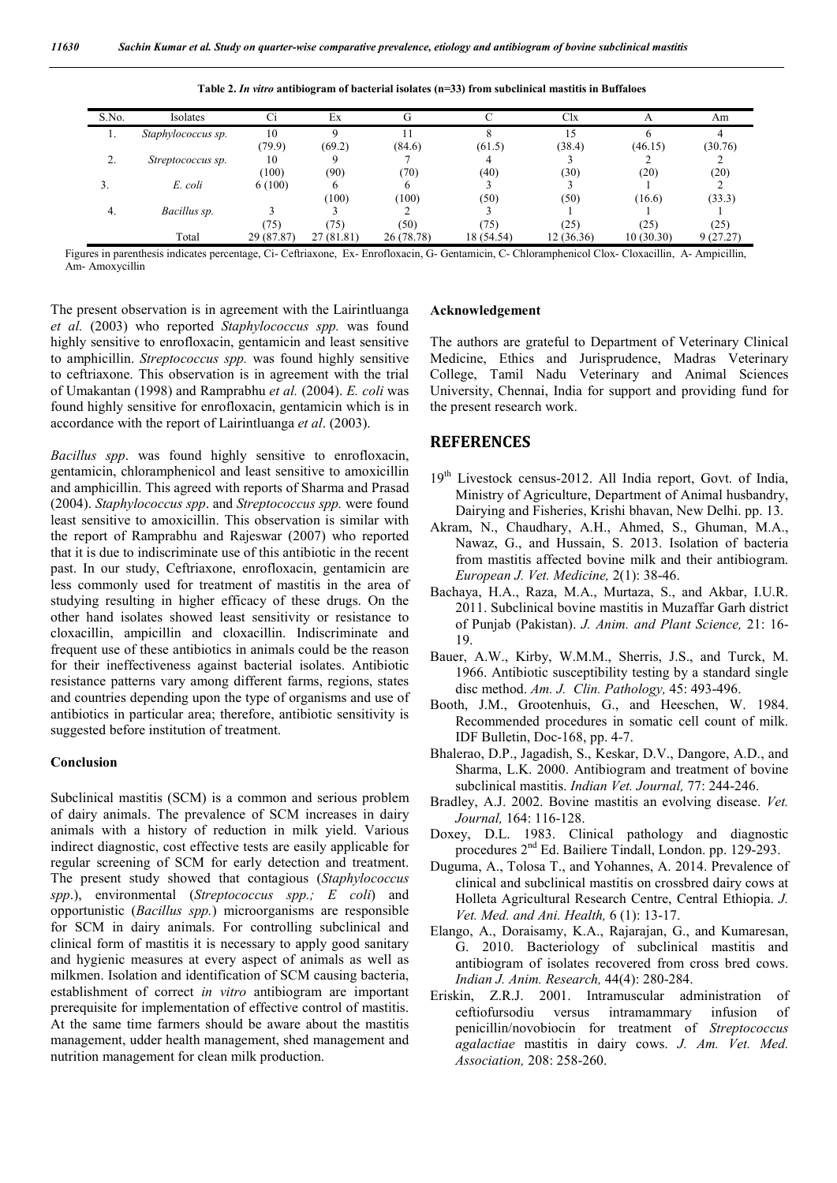| S.No. | Isolates           | Сi         | Ex        |            |            | Clx       |           | Am       |
|-------|--------------------|------------|-----------|------------|------------|-----------|-----------|----------|
| .,    | Staphylococcus sp. | 10         | a         |            |            | 15        |           |          |
|       |                    | (79.9)     | (69.2)    | (84.6)     | (61.5)     | (38.4)    | (46.15)   | (30.76)  |
| ۷,    | Streptococcus sp.  | 10         |           |            |            |           |           |          |
|       |                    | (100)      | (90)      | (70)       | (40)       | (30)      | (20)      | (20)     |
| Ć.    | E. coli            | 6(100)     |           |            |            |           |           |          |
|       |                    |            | (100)     | (100)      | (50)       | (50)      | (16.6)    | (33.3)   |
| 4.    | Bacillus sp.       |            |           |            |            |           |           |          |
|       |                    | (75)       | (75)      | (50)       | (75)       | (25)      | (25)      | (25)     |
|       | Total              | 29 (87.87) | 27(81.81) | 26 (78.78) | 18 (54.54) | 12(36.36) | 10(30.30) | 9(27.27) |

**Table 2.** *In vitro* **antibiogram of bacterial isolates (n=33) from subclinical mastitis in Buffaloes**

Figures in parenthesis indicates percentage, Ci- Ceftriaxone, Ex- Enrofloxacin, G- Gentamicin, C- Chloramphenicol Clox- Cloxacillin, A- Ampicillin, Am- Amoxycillin

The present observation is in agreement with the Lairintluanga *et al.* (2003) who reported *Staphylococcus spp.* was found highly sensitive to enrofloxacin, gentamicin and least sensitive to amphicillin. *Streptococcus spp.* was found highly sensitive to ceftriaxone. This observation is in agreement with the trial of Umakantan (1998) and Ramprabhu *et al.* (2004). *E. coli* was found highly sensitive for enrofloxacin, gentamicin which is in accordance with the report of Lairintluanga *et al*. (2003).

*Bacillus spp*. was found highly sensitive to enrofloxacin, gentamicin, chloramphenicol and least sensitive to amoxicillin and amphicillin. This agreed with reports of Sharma and Prasad (2004). *Staphylococcus spp*. and *Streptococcus spp.* were found least sensitive to amoxicillin. This observation is similar with the report of Ramprabhu and Rajeswar (2007) who reported that it is due to indiscriminate use of this antibiotic in the recent past. In our study, Ceftriaxone, enrofloxacin, gentamicin are less commonly used for treatment of mastitis in the area of studying resulting in higher efficacy of these drugs. On the other hand isolates showed least sensitivity or resistance to cloxacillin, ampicillin and cloxacillin. Indiscriminate and frequent use of these antibiotics in animals could be the reason for their ineffectiveness against bacterial isolates. Antibiotic resistance patterns vary among different farms, regions, states and countries depending upon the type of organisms and use of antibiotics in particular area; therefore, antibiotic sensitivity is suggested before institution of treatment.

## **Conclusion**

Subclinical mastitis (SCM) is a common and serious problem of dairy animals. The prevalence of SCM increases in dairy animals with a history of reduction in milk yield. Various indirect diagnostic, cost effective tests are easily applicable for regular screening of SCM for early detection and treatment. The present study showed that contagious (*Staphylococcus spp*.), environmental (*Streptococcus spp.; E coli*) and opportunistic (*Bacillus spp.*) microorganisms are responsible for SCM in dairy animals. For controlling subclinical and clinical form of mastitis it is necessary to apply good sanitary and hygienic measures at every aspect of animals as well as milkmen. Isolation and identification of SCM causing bacteria, establishment of correct *in vitro* antibiogram are important prerequisite for implementation of effective control of mastitis. At the same time farmers should be aware about the mastitis management, udder health management, shed management and nutrition management for clean milk production.

#### **Acknowledgement**

The authors are grateful to Department of Veterinary Clinical Medicine, Ethics and Jurisprudence, Madras Veterinary College, Tamil Nadu Veterinary and Animal Sciences University, Chennai, India for support and providing fund for the present research work.

# **REFERENCES**

- 19<sup>th</sup> Livestock census-2012. All India report, Govt. of India, Ministry of Agriculture, Department of Animal husbandry, Dairying and Fisheries, Krishi bhavan, New Delhi. pp. 13.
- Akram, N., Chaudhary, A.H., Ahmed, S., Ghuman, M.A., Nawaz, G., and Hussain, S. 2013. Isolation of bacteria from mastitis affected bovine milk and their antibiogram. *European J. Vet. Medicine,* 2(1): 38-46.
- Bachaya, H.A., Raza, M.A., Murtaza, S., and Akbar, I.U.R. 2011. Subclinical bovine mastitis in Muzaffar Garh district of Punjab (Pakistan). *J. Anim. and Plant Science,* 21: 16- 19.
- Bauer, A.W., Kirby, W.M.M., Sherris, J.S., and Turck, M. 1966. Antibiotic susceptibility testing by a standard single disc method. *Am. J. Clin. Pathology,* 45: 493-496.
- Booth, J.M., Grootenhuis, G., and Heeschen, W. 1984. Recommended procedures in somatic cell count of milk. IDF Bulletin, Doc-168, pp. 4-7.
- Bhalerao, D.P., Jagadish, S., Keskar, D.V., Dangore, A.D., and Sharma, L.K. 2000. Antibiogram and treatment of bovine subclinical mastitis. *Indian Vet. Journal,* 77: 244-246.
- Bradley, A.J. 2002. Bovine mastitis an evolving disease. *Vet. Journal,* 164: 116-128.
- Doxey, D.L. 1983. Clinical pathology and diagnostic procedures 2nd Ed. Bailiere Tindall, London. pp. 129-293.
- Duguma, A., Tolosa T., and Yohannes, A. 2014. Prevalence of clinical and subclinical mastitis on crossbred dairy cows at Holleta Agricultural Research Centre, Central Ethiopia. *J. Vet. Med. and Ani. Health,* 6 (1): 13-17.
- Elango, A., Doraisamy, K.A., Rajarajan, G., and Kumaresan, G. 2010. Bacteriology of subclinical mastitis and antibiogram of isolates recovered from cross bred cows. *Indian J. Anim. Research,* 44(4): 280-284.
- Eriskin, Z.R.J. 2001. Intramuscular administration of ceftiofursodiu versus intramammary infusion of penicillin/novobiocin for treatment of *Streptococcus agalactiae* mastitis in dairy cows. *J. Am. Vet. Med. Association,* 208: 258-260.